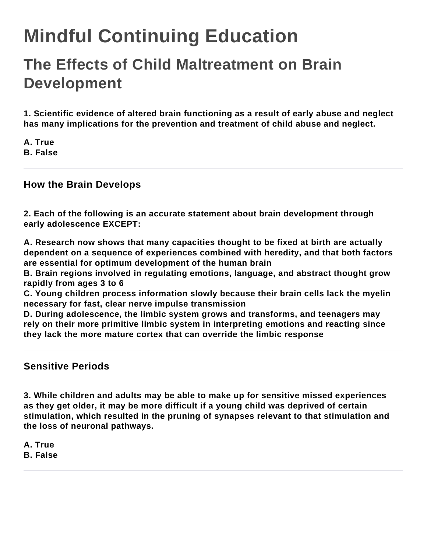# **Mindful Continuing Education**

## **The Effects of Child Maltreatment on Brain Development**

**1. Scientific evidence of altered brain functioning as a result of early abuse and neglect has many implications for the prevention and treatment of child abuse and neglect.**

**A. True B. False**

#### **How the Brain Develops**

**2. Each of the following is an accurate statement about brain development through early adolescence EXCEPT:**

**A. Research now shows that many capacities thought to be fixed at birth are actually dependent on a sequence of experiences combined with heredity, and that both factors are essential for optimum development of the human brain**

**B. Brain regions involved in regulating emotions, language, and abstract thought grow rapidly from ages 3 to 6**

**C. Young children process information slowly because their brain cells lack the myelin necessary for fast, clear nerve impulse transmission**

**D. During adolescence, the limbic system grows and transforms, and teenagers may rely on their more primitive limbic system in interpreting emotions and reacting since they lack the more mature cortex that can override the limbic response**

#### **Sensitive Periods**

**3. While children and adults may be able to make up for sensitive missed experiences as they get older, it may be more difficult if a young child was deprived of certain stimulation, which resulted in the pruning of synapses relevant to that stimulation and the loss of neuronal pathways.**

**A. True B. False**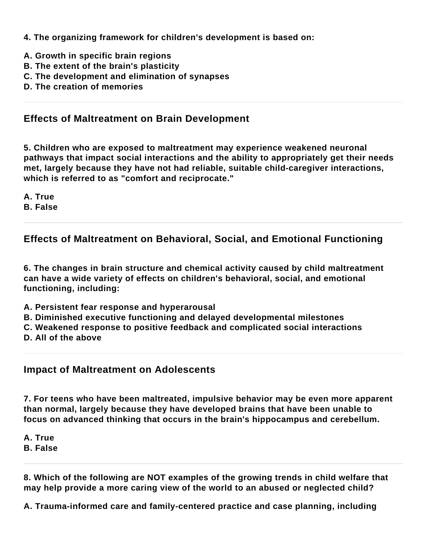**4. The organizing framework for children's development is based on:**

- **A. Growth in specific brain regions**
- **B. The extent of the brain's plasticity**
- **C. The development and elimination of synapses**
- **D. The creation of memories**

### **Effects of Maltreatment on Brain Development**

**5. Children who are exposed to maltreatment may experience weakened neuronal pathways that impact social interactions and the ability to appropriately get their needs met, largely because they have not had reliable, suitable child-caregiver interactions, which is referred to as "comfort and reciprocate."**

**A. True**

**B. False**

**Effects of Maltreatment on Behavioral, Social, and Emotional Functioning**

**6. The changes in brain structure and chemical activity caused by child maltreatment can have a wide variety of effects on children's behavioral, social, and emotional functioning, including:**

- **A. Persistent fear response and hyperarousal**
- **B. Diminished executive functioning and delayed developmental milestones**
- **C. Weakened response to positive feedback and complicated social interactions**
- **D. All of the above**

**Impact of Maltreatment on Adolescents**

**7. For teens who have been maltreated, impulsive behavior may be even more apparent than normal, largely because they have developed brains that have been unable to focus on advanced thinking that occurs in the brain's hippocampus and cerebellum.**

**A. True**

**B. False**

**8. Which of the following are NOT examples of the growing trends in child welfare that may help provide a more caring view of the world to an abused or neglected child?**

**A. Trauma-informed care and family-centered practice and case planning, including**